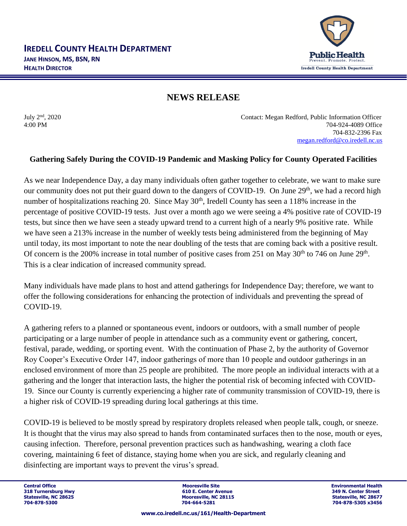

## **NEWS RELEASE**

July 2<sup>nd</sup>, 2020

Contact: Megan Redford, Public Information Officer 4:00 PM 704-924-4089 Office 704-832-2396 Fax [megan.redford@co.iredell.nc.us](mailto:megan.redford@co.iredell.nc.us)

## **Gathering Safely During the COVID-19 Pandemic and Masking Policy for County Operated Facilities**

As we near Independence Day, a day many individuals often gather together to celebrate, we want to make sure our community does not put their guard down to the dangers of COVID-19. On June 29<sup>th</sup>, we had a record high number of hospitalizations reaching 20. Since May 30<sup>th</sup>, Iredell County has seen a 118% increase in the percentage of positive COVID-19 tests. Just over a month ago we were seeing a 4% positive rate of COVID-19 tests, but since then we have seen a steady upward trend to a current high of a nearly 9% positive rate. While we have seen a 213% increase in the number of weekly tests being administered from the beginning of May until today, its most important to note the near doubling of the tests that are coming back with a positive result. Of concern is the 200% increase in total number of positive cases from 251 on May  $30^{th}$  to 746 on June  $29^{th}$ . This is a clear indication of increased community spread.

Many individuals have made plans to host and attend gatherings for Independence Day; therefore, we want to offer the following considerations for enhancing the protection of individuals and preventing the spread of COVID-19.

A gathering refers to a planned or spontaneous event, indoors or outdoors, with a small number of people participating or a large number of people in attendance such as a community event or gathering, concert, festival, parade, wedding, or sporting event. With the continuation of Phase 2, by the authority of Governor Roy Cooper's Executive Order 147, indoor gatherings of more than 10 people and outdoor gatherings in an enclosed environment of more than 25 people are prohibited. The more people an individual interacts with at a gathering and the longer that interaction lasts, the higher the potential risk of becoming infected with COVID-19. Since our County is currently experiencing a higher rate of community transmission of COVID-19, there is a higher risk of COVID-19 spreading during local gatherings at this time.

COVID-19 is believed to be mostly spread by respiratory droplets released when people talk, cough, or sneeze. It is thought that the virus may also spread to hands from contaminated surfaces then to the nose, mouth or eyes, causing infection. Therefore, personal prevention practices such as handwashing, wearing a cloth face covering, maintaining 6 feet of distance, staying home when you are sick, and regularly cleaning and disinfecting are important ways to prevent the virus's spread.

**Central Office Mooresville Site Environmental Health 318 Turnersburg Hwy 610 E. Center Avenue 349 N. Center Street Statesville, NC 28115**<br> **Statesville, NC 28677**<br> **Statesville, NC 28677**<br> **STATES 28156**<br> **STATES 28456 704-878-5300 704-664-5281 704-878-5305 x3456**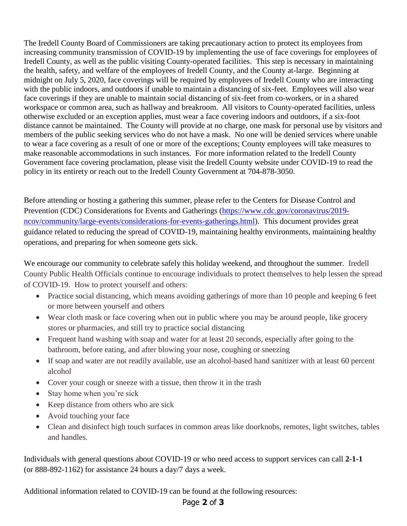The Iredell County Board of Commissioners are taking precautionary action to protect its employees from increasing community transmission of COVID-19 by implementing the use of face coverings for employees of Iredell County, as well as the public visiting County-operated facilities. This step is necessary in maintaining the health, safety, and welfare of the employees of Iredell County, and the County at-large. Beginning at midnight on July 5, 2020, face coverings will be required by employees of Iredell County who are interacting with the public indoors, and outdoors if unable to maintain a distancing of six-feet. Employees will also wear face coverings if they are unable to maintain social distancing of six-feet from co-workers, or in a shared workspace or common area, such as hallway and breakroom. All visitors to County-operated facilities, unless otherwise excluded or an exception applies, must wear a face covering indoors and outdoors, if a six-foot distance cannot be maintained. The County will provide at no charge, one mask for personal use by visitors and members of the public seeking services who do not have a mask. No one will be denied services where unable to wear a face covering as a result of one or more of the exceptions; County employees will take measures to make reasonable accommodations in such instances. For more information related to the Iredell County Government face covering proclamation, please visit the Iredell County website under COVID-19 to read the policy in its entirety or reach out to the Iredell County Government at 704-878-3050.

Before attending or hosting a gathering this summer, please refer to the Centers for Disease Control and Prevention (CDC) Considerations for Events and Gatherings [\(https://www.cdc.gov/coronavirus/2019](https://www.cdc.gov/coronavirus/2019-ncov/community/large-events/considerations-for-events-gatherings.html) [ncov/community/large-events/considerations-for-events-gatherings.html\)](https://www.cdc.gov/coronavirus/2019-ncov/community/large-events/considerations-for-events-gatherings.html). This document provides great guidance related to reducing the spread of COVID-19, maintaining healthy environments, maintaining healthy operations, and preparing for when someone gets sick.

We encourage our community to celebrate safely this holiday weekend, and throughout the summer. Iredell County Public Health Officials continue to encourage individuals to protect themselves to help lessen the spread of COVID-19. How to protect yourself and others:

- Practice social distancing, which means avoiding gatherings of more than 10 people and keeping 6 feet or more between yourself and others
- Wear cloth mask or face covering when out in public where you may be around people, like grocery stores or pharmacies, and still try to practice social distancing
- Frequent hand washing with soap and water for at least 20 seconds, especially after going to the bathroom, before eating, and after blowing your nose, coughing or sneezing
- If soap and water are not readily available, use an alcohol-based hand sanitizer with at least 60 percent alcohol
- Cover your cough or sneeze with a tissue, then throw it in the trash
- Stay home when you're sick
- Keep distance from others who are sick
- Avoid touching your face
- Clean and disinfect high touch surfaces in common areas like doorknobs, remotes, light switches, tables and handles.

Individuals with general questions about COVID-19 or who need access to support services can call **2-1-1**  (or 888-892-1162) for assistance 24 hours a day/7 days a week.

Additional information related to COVID-19 can be found at the following resources:

## Page **2** of **3**